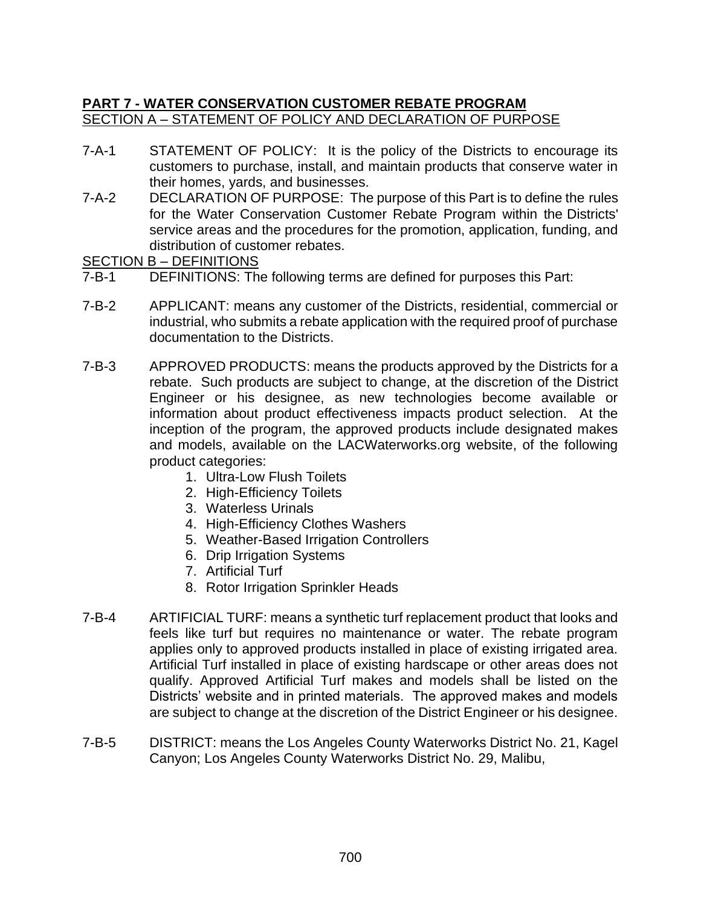# **PART 7 - WATER CONSERVATION CUSTOMER REBATE PROGRAM**  SECTION A – STATEMENT OF POLICY AND DECLARATION OF PURPOSE

- 7-A-1 STATEMENT OF POLICY: It is the policy of the Districts to encourage its customers to purchase, install, and maintain products that conserve water in their homes, yards, and businesses.
- 7-A-2 DECLARATION OF PURPOSE: The purpose of this Part is to define the rules for the Water Conservation Customer Rebate Program within the Districts' service areas and the procedures for the promotion, application, funding, and distribution of customer rebates.

SECTION B – DEFINITIONS

- 7-B-1 DEFINITIONS: The following terms are defined for purposes this Part:
- 7-B-2 APPLICANT: means any customer of the Districts, residential, commercial or industrial, who submits a rebate application with the required proof of purchase documentation to the Districts.
- 7-B-3 APPROVED PRODUCTS: means the products approved by the Districts for a rebate. Such products are subject to change, at the discretion of the District Engineer or his designee, as new technologies become available or information about product effectiveness impacts product selection. At the inception of the program, the approved products include designated makes and models, available on the LACWaterworks.org website, of the following product categories:
	- 1. Ultra-Low Flush Toilets
	- 2. High-Efficiency Toilets
	- 3. Waterless Urinals
	- 4. High-Efficiency Clothes Washers
	- 5. Weather-Based Irrigation Controllers
	- 6. Drip Irrigation Systems
	- 7. Artificial Turf
	- 8. Rotor Irrigation Sprinkler Heads
- 7-B-4 ARTIFICIAL TURF: means a synthetic turf replacement product that looks and feels like turf but requires no maintenance or water. The rebate program applies only to approved products installed in place of existing irrigated area. Artificial Turf installed in place of existing hardscape or other areas does not qualify. Approved Artificial Turf makes and models shall be listed on the Districts' website and in printed materials. The approved makes and models are subject to change at the discretion of the District Engineer or his designee.
- 7-B-5 DISTRICT: means the Los Angeles County Waterworks District No. 21, Kagel Canyon; Los Angeles County Waterworks District No. 29, Malibu,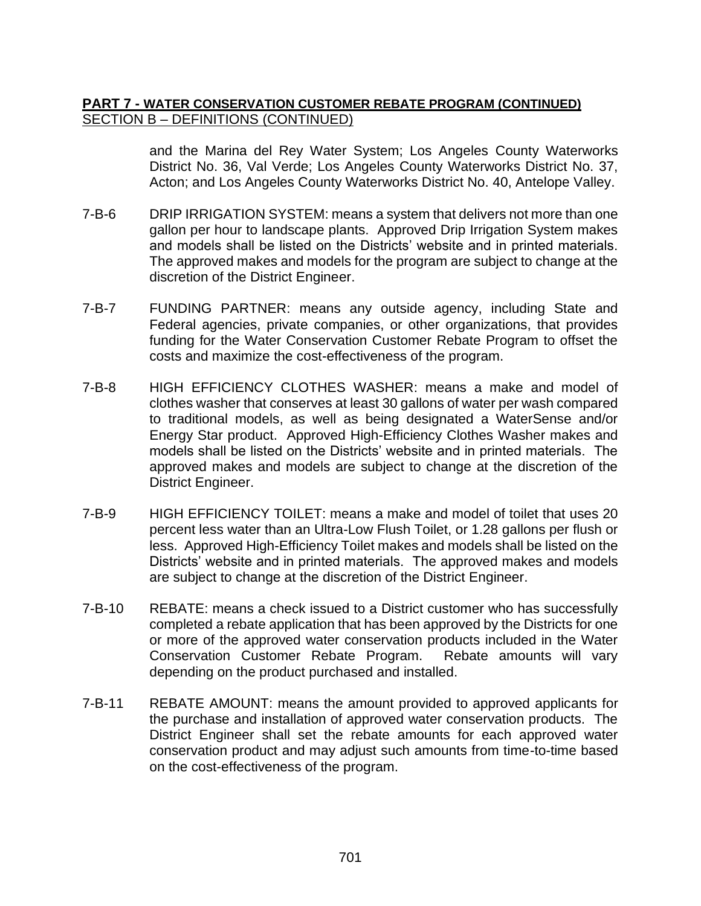## **PART 7 - WATER CONSERVATION CUSTOMER REBATE PROGRAM (CONTINUED)** SECTION B – DEFINITIONS (CONTINUED)

and the Marina del Rey Water System; Los Angeles County Waterworks District No. 36, Val Verde; Los Angeles County Waterworks District No. 37, Acton; and Los Angeles County Waterworks District No. 40, Antelope Valley.

- 7-B-6 DRIP IRRIGATION SYSTEM: means a system that delivers not more than one gallon per hour to landscape plants. Approved Drip Irrigation System makes and models shall be listed on the Districts' website and in printed materials. The approved makes and models for the program are subject to change at the discretion of the District Engineer.
- 7-B-7 FUNDING PARTNER: means any outside agency, including State and Federal agencies, private companies, or other organizations, that provides funding for the Water Conservation Customer Rebate Program to offset the costs and maximize the cost-effectiveness of the program.
- 7-B-8 HIGH EFFICIENCY CLOTHES WASHER: means a make and model of clothes washer that conserves at least 30 gallons of water per wash compared to traditional models, as well as being designated a WaterSense and/or Energy Star product. Approved High-Efficiency Clothes Washer makes and models shall be listed on the Districts' website and in printed materials. The approved makes and models are subject to change at the discretion of the District Engineer.
- 7-B-9 HIGH EFFICIENCY TOILET: means a make and model of toilet that uses 20 percent less water than an Ultra-Low Flush Toilet, or 1.28 gallons per flush or less. Approved High-Efficiency Toilet makes and models shall be listed on the Districts' website and in printed materials. The approved makes and models are subject to change at the discretion of the District Engineer.
- 7-B-10 REBATE: means a check issued to a District customer who has successfully completed a rebate application that has been approved by the Districts for one or more of the approved water conservation products included in the Water Conservation Customer Rebate Program. Rebate amounts will vary depending on the product purchased and installed.
- 7-B-11 REBATE AMOUNT: means the amount provided to approved applicants for the purchase and installation of approved water conservation products. The District Engineer shall set the rebate amounts for each approved water conservation product and may adjust such amounts from time-to-time based on the cost-effectiveness of the program.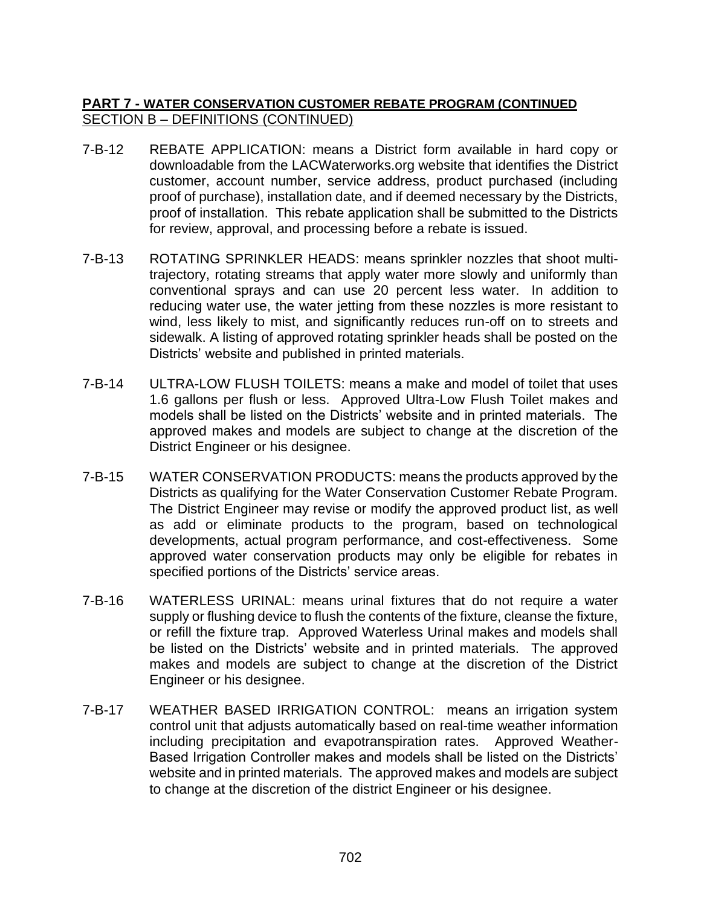## **PART 7 - WATER CONSERVATION CUSTOMER REBATE PROGRAM (CONTINUED** SECTION B – DEFINITIONS (CONTINUED)

- 7-B-12 REBATE APPLICATION: means a District form available in hard copy or downloadable from the LACWaterworks.org website that identifies the District customer, account number, service address, product purchased (including proof of purchase), installation date, and if deemed necessary by the Districts, proof of installation. This rebate application shall be submitted to the Districts for review, approval, and processing before a rebate is issued.
- 7-B-13 ROTATING SPRINKLER HEADS: means sprinkler nozzles that shoot multitrajectory, rotating streams that apply water more slowly and uniformly than conventional sprays and can use 20 percent less water. In addition to reducing water use, the water jetting from these nozzles is more resistant to wind, less likely to mist, and significantly reduces run-off on to streets and sidewalk. A listing of approved rotating sprinkler heads shall be posted on the Districts' website and published in printed materials.
- 7-B-14 ULTRA-LOW FLUSH TOILETS: means a make and model of toilet that uses 1.6 gallons per flush or less. Approved Ultra-Low Flush Toilet makes and models shall be listed on the Districts' website and in printed materials. The approved makes and models are subject to change at the discretion of the District Engineer or his designee.
- 7-B-15 WATER CONSERVATION PRODUCTS: means the products approved by the Districts as qualifying for the Water Conservation Customer Rebate Program. The District Engineer may revise or modify the approved product list, as well as add or eliminate products to the program, based on technological developments, actual program performance, and cost-effectiveness. Some approved water conservation products may only be eligible for rebates in specified portions of the Districts' service areas.
- 7-B-16 WATERLESS URINAL: means urinal fixtures that do not require a water supply or flushing device to flush the contents of the fixture, cleanse the fixture, or refill the fixture trap. Approved Waterless Urinal makes and models shall be listed on the Districts' website and in printed materials. The approved makes and models are subject to change at the discretion of the District Engineer or his designee.
- 7-B-17 WEATHER BASED IRRIGATION CONTROL: means an irrigation system control unit that adjusts automatically based on real-time weather information including precipitation and evapotranspiration rates. Approved Weather-Based Irrigation Controller makes and models shall be listed on the Districts' website and in printed materials. The approved makes and models are subject to change at the discretion of the district Engineer or his designee.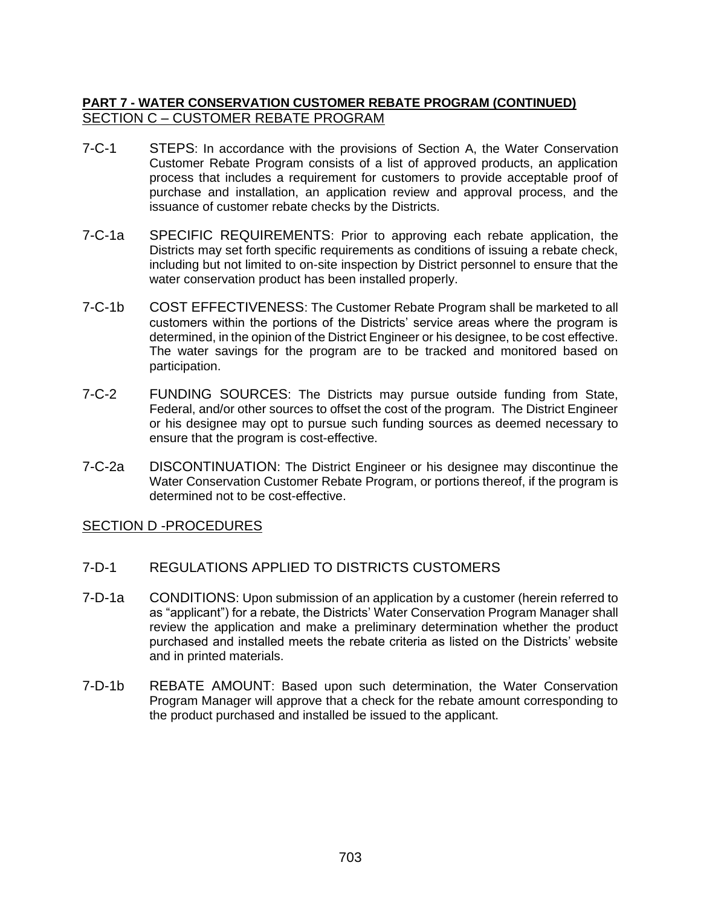### **PART 7 - WATER CONSERVATION CUSTOMER REBATE PROGRAM (CONTINUED)**  SECTION C – CUSTOMER REBATE PROGRAM

- 7-C-1 STEPS: In accordance with the provisions of Section A, the Water Conservation Customer Rebate Program consists of a list of approved products, an application process that includes a requirement for customers to provide acceptable proof of purchase and installation, an application review and approval process, and the issuance of customer rebate checks by the Districts.
- 7-C-1a SPECIFIC REQUIREMENTS: Prior to approving each rebate application, the Districts may set forth specific requirements as conditions of issuing a rebate check, including but not limited to on-site inspection by District personnel to ensure that the water conservation product has been installed properly.
- 7-C-1b COST EFFECTIVENESS: The Customer Rebate Program shall be marketed to all customers within the portions of the Districts' service areas where the program is determined, in the opinion of the District Engineer or his designee, to be cost effective. The water savings for the program are to be tracked and monitored based on participation.
- 7-C-2 FUNDING SOURCES: The Districts may pursue outside funding from State, Federal, and/or other sources to offset the cost of the program. The District Engineer or his designee may opt to pursue such funding sources as deemed necessary to ensure that the program is cost-effective.
- 7-C-2a DISCONTINUATION: The District Engineer or his designee may discontinue the Water Conservation Customer Rebate Program, or portions thereof, if the program is determined not to be cost-effective.

### SECTION D -PROCEDURES

- 7-D-1 REGULATIONS APPLIED TO DISTRICTS CUSTOMERS
- 7-D-1a CONDITIONS: Upon submission of an application by a customer (herein referred to as "applicant") for a rebate, the Districts' Water Conservation Program Manager shall review the application and make a preliminary determination whether the product purchased and installed meets the rebate criteria as listed on the Districts' website and in printed materials.
- 7-D-1b REBATE AMOUNT: Based upon such determination, the Water Conservation Program Manager will approve that a check for the rebate amount corresponding to the product purchased and installed be issued to the applicant.